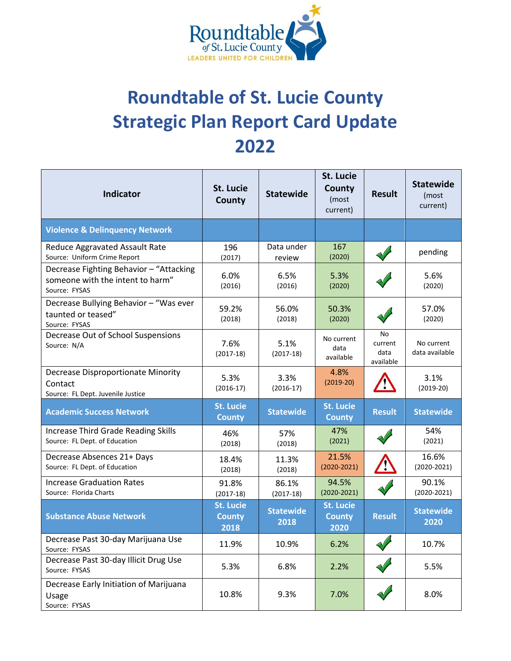

## **Roundtable of St. Lucie County Strategic Plan Report Card Update 2022**

| <b>Indicator</b>                                                                             | St. Lucie<br>County                       | <b>Statewide</b>         | St. Lucie<br>County<br>(most<br>current)  | <b>Result</b>                      | <b>Statewide</b><br>(most<br>current) |
|----------------------------------------------------------------------------------------------|-------------------------------------------|--------------------------|-------------------------------------------|------------------------------------|---------------------------------------|
| <b>Violence &amp; Delinquency Network</b>                                                    |                                           |                          |                                           |                                    |                                       |
| Reduce Aggravated Assault Rate<br>Source: Uniform Crime Report                               | 196<br>(2017)                             | Data under<br>review     | 167<br>(2020)                             |                                    | pending                               |
| Decrease Fighting Behavior - "Attacking<br>someone with the intent to harm"<br>Source: FYSAS | 6.0%<br>(2016)                            | 6.5%<br>(2016)           | 5.3%<br>(2020)                            |                                    | 5.6%<br>(2020)                        |
| Decrease Bullying Behavior - "Was ever<br>taunted or teased"<br>Source: FYSAS                | 59.2%<br>(2018)                           | 56.0%<br>(2018)          | 50.3%<br>(2020)                           |                                    | 57.0%<br>(2020)                       |
| Decrease Out of School Suspensions<br>Source: N/A                                            | 7.6%<br>$(2017-18)$                       | 5.1%<br>$(2017-18)$      | No current<br>data<br>available           | No<br>current<br>data<br>available | No current<br>data available          |
| <b>Decrease Disproportionate Minority</b><br>Contact<br>Source: FL Dept. Juvenile Justice    | 5.3%<br>$(2016-17)$                       | 3.3%<br>$(2016-17)$      | 4.8%<br>$(2019-20)$                       |                                    | 3.1%<br>$(2019-20)$                   |
| <b>Academic Success Network</b>                                                              | <b>St. Lucie</b><br><b>County</b>         | <b>Statewide</b>         | <b>St. Lucie</b><br><b>County</b>         | <b>Result</b>                      | <b>Statewide</b>                      |
| <b>Increase Third Grade Reading Skills</b><br>Source: FL Dept. of Education                  | 46%<br>(2018)                             | 57%<br>(2018)            | 47%<br>(2021)                             |                                    | 54%<br>(2021)                         |
| Decrease Absences 21+ Days<br>Source: FL Dept. of Education                                  | 18.4%<br>(2018)                           | 11.3%<br>(2018)          | 21.5%<br>$(2020 - 2021)$                  |                                    | 16.6%<br>$(2020 - 2021)$              |
| <b>Increase Graduation Rates</b><br>Source: Florida Charts                                   | 91.8%<br>$(2017-18)$                      | 86.1%<br>$(2017-18)$     | 94.5%<br>$(2020 - 2021)$                  |                                    | 90.1%<br>$(2020 - 2021)$              |
| <b>Substance Abuse Network</b>                                                               | <b>St. Lucie</b><br><b>County</b><br>2018 | <b>Statewide</b><br>2018 | <b>St. Lucie</b><br><b>County</b><br>2020 | <b>Result</b>                      | <b>Statewide</b><br>2020              |
| Decrease Past 30-day Marijuana Use<br>Source: FYSAS                                          | 11.9%                                     | 10.9%                    | 6.2%                                      | $\rightsquigarrow$                 | 10.7%                                 |
| Decrease Past 30-day Illicit Drug Use<br>Source: FYSAS                                       | 5.3%                                      | 6.8%                     | 2.2%                                      |                                    | 5.5%                                  |
| Decrease Early Initiation of Marijuana<br>Usage<br>Source: FYSAS                             | 10.8%                                     | 9.3%                     | 7.0%                                      |                                    | 8.0%                                  |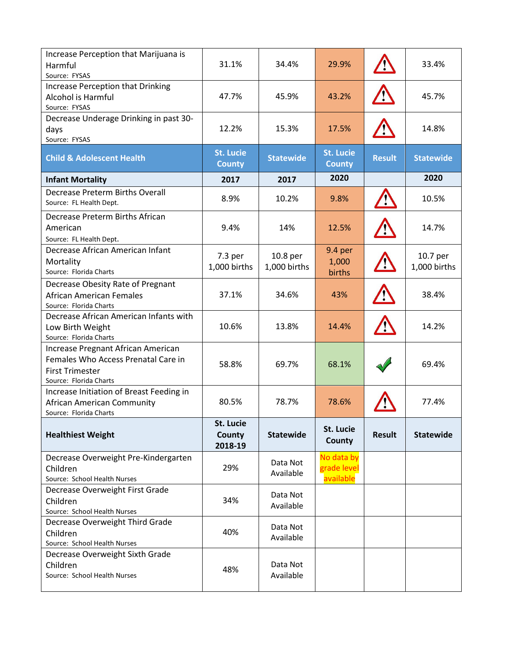| Increase Perception that Marijuana is<br>Harmful<br>Source: FYSAS                                                             | 31.1%                             | 34.4%                    | 29.9%                                  |               | 33.4%                    |
|-------------------------------------------------------------------------------------------------------------------------------|-----------------------------------|--------------------------|----------------------------------------|---------------|--------------------------|
| <b>Increase Perception that Drinking</b><br>Alcohol is Harmful<br>Source: FYSAS                                               | 47.7%                             | 45.9%                    | 43.2%                                  |               | 45.7%                    |
| Decrease Underage Drinking in past 30-<br>days<br>Source: FYSAS                                                               | 12.2%                             | 15.3%                    | 17.5%                                  |               | 14.8%                    |
| <b>Child &amp; Adolescent Health</b>                                                                                          | <b>St. Lucie</b><br><b>County</b> | <b>Statewide</b>         | <b>St. Lucie</b><br><b>County</b>      | <b>Result</b> | <b>Statewide</b>         |
| <b>Infant Mortality</b>                                                                                                       | 2017                              | 2017                     | 2020                                   |               | 2020                     |
| <b>Decrease Preterm Births Overall</b><br>Source: FL Health Dept.                                                             | 8.9%                              | 10.2%                    | 9.8%                                   |               | 10.5%                    |
| Decrease Preterm Births African<br>American<br>Source: FL Health Dept.                                                        | 9.4%                              | 14%                      | 12.5%                                  |               | 14.7%                    |
| Decrease African American Infant<br>Mortality<br>Source: Florida Charts                                                       | 7.3 per<br>1,000 births           | 10.8 per<br>1,000 births | 9.4 per<br>1,000<br>births             |               | 10.7 per<br>1,000 births |
| Decrease Obesity Rate of Pregnant<br><b>African American Females</b><br>Source: Florida Charts                                | 37.1%                             | 34.6%                    | 43%                                    |               | 38.4%                    |
| Decrease African American Infants with<br>Low Birth Weight<br>Source: Florida Charts                                          | 10.6%                             | 13.8%                    | 14.4%                                  |               | 14.2%                    |
| Increase Pregnant African American<br>Females Who Access Prenatal Care in<br><b>First Trimester</b><br>Source: Florida Charts | 58.8%                             | 69.7%                    | 68.1%                                  |               | 69.4%                    |
| Increase Initiation of Breast Feeding in<br>African American Community<br>Source: Florida Charts                              | 80.5%                             | 78.7%                    | 78.6%                                  |               | 77.4%                    |
| <b>Healthiest Weight</b>                                                                                                      | St. Lucie<br>County<br>2018-19    | <b>Statewide</b>         | <b>St. Lucie</b><br>County             | <b>Result</b> | <b>Statewide</b>         |
| Decrease Overweight Pre-Kindergarten<br>Children<br>Source: School Health Nurses                                              | 29%                               | Data Not<br>Available    | No data by<br>grade level<br>available |               |                          |
| Decrease Overweight First Grade<br>Children<br>Source: School Health Nurses                                                   | 34%                               | Data Not<br>Available    |                                        |               |                          |
| Decrease Overweight Third Grade<br>Children<br>Source: School Health Nurses                                                   | 40%                               | Data Not<br>Available    |                                        |               |                          |
| Decrease Overweight Sixth Grade<br>Children<br>Source: School Health Nurses                                                   | 48%                               | Data Not<br>Available    |                                        |               |                          |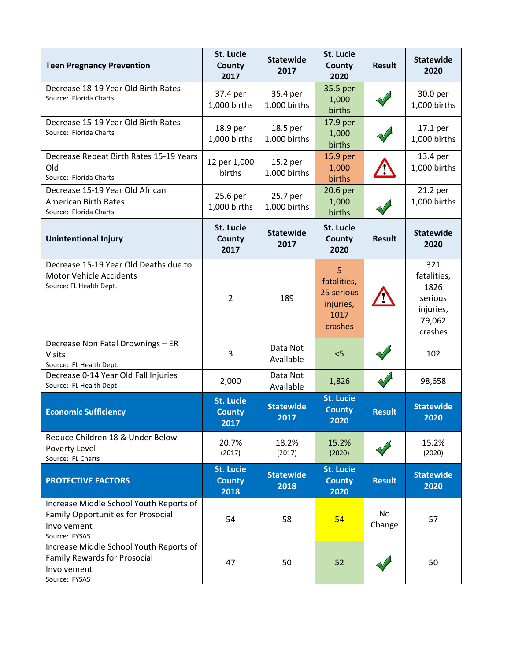| <b>Teen Pregnancy Prevention</b>                                                                                     | St. Lucie<br>County<br>2017               | <b>Statewide</b><br>2017 | <b>St. Lucie</b><br>County<br>2020                             | <b>Result</b>       | <b>Statewide</b><br>2020                                                |
|----------------------------------------------------------------------------------------------------------------------|-------------------------------------------|--------------------------|----------------------------------------------------------------|---------------------|-------------------------------------------------------------------------|
| Decrease 18-19 Year Old Birth Rates<br>Source: Florida Charts                                                        | 37.4 per<br>1,000 births                  | 35.4 per<br>1,000 births | 35.5 per<br>1,000<br>births                                    |                     | 30.0 per<br>1,000 births                                                |
| Decrease 15-19 Year Old Birth Rates<br>Source: Florida Charts                                                        | 18.9 per<br>1,000 births                  | 18.5 per<br>1,000 births | 17.9 per<br>1,000<br>births                                    |                     | 17.1 per<br>1,000 births                                                |
| Decrease Repeat Birth Rates 15-19 Years<br>Old<br>Source: Florida Charts                                             | 12 per 1,000<br>births                    | 15.2 per<br>1,000 births | 15.9 per<br>1,000<br>births                                    |                     | 13.4 per<br>1,000 births                                                |
| Decrease 15-19 Year Old African<br><b>American Birth Rates</b><br>Source: Florida Charts                             | 25.6 per<br>1,000 births                  | 25.7 per<br>1,000 births | 20.6 per<br>1,000<br>births                                    |                     | 21.2 per<br>1,000 births                                                |
| <b>Unintentional Injury</b>                                                                                          | St. Lucie<br><b>County</b><br>2017        | <b>Statewide</b><br>2017 | <b>St. Lucie</b><br>County<br>2020                             | <b>Result</b>       | <b>Statewide</b><br>2020                                                |
| Decrease 15-19 Year Old Deaths due to<br><b>Motor Vehicle Accidents</b><br>Source: FL Health Dept.                   | $\overline{2}$                            | 189                      | 5<br>fatalities,<br>25 serious<br>injuries,<br>1017<br>crashes |                     | 321<br>fatalities,<br>1826<br>serious<br>injuries,<br>79,062<br>crashes |
| Decrease Non Fatal Drownings - ER<br><b>Visits</b><br>Source: FL Health Dept.                                        | 3                                         | Data Not<br>Available    | < 5                                                            |                     | 102                                                                     |
| Decrease 0-14 Year Old Fall Injuries<br>Source: FL Health Dept                                                       | 2,000                                     | Data Not<br>Available    | 1,826                                                          |                     | 98,658                                                                  |
| <b>Economic Sufficiency</b>                                                                                          | <b>St. Lucie</b><br><b>County</b><br>2017 | <b>Statewide</b><br>2017 | <b>St. Lucie</b><br><b>County</b><br>2020                      | <b>Result</b>       | <b>Statewide</b><br>2020                                                |
| Reduce Children 18 & Under Below<br>Poverty Level<br>Source: FL Charts                                               | 20.7%<br>(2017)                           | 18.2%<br>(2017)          | 15.2%<br>(2020)                                                |                     | 15.2%<br>(2020)                                                         |
| <b>PROTECTIVE FACTORS</b>                                                                                            | <b>St. Lucie</b><br><b>County</b><br>2018 | <b>Statewide</b><br>2018 | <b>St. Lucie</b><br><b>County</b><br>2020                      | <b>Result</b>       | <b>Statewide</b><br>2020                                                |
| Increase Middle School Youth Reports of<br><b>Family Opportunities for Prosocial</b><br>Involvement<br>Source: FYSAS | 54                                        | 58                       | 54                                                             | <b>No</b><br>Change | 57                                                                      |
| Increase Middle School Youth Reports of<br><b>Family Rewards for Prosocial</b><br>Involvement<br>Source: FYSAS       | 47                                        | 50                       | 52                                                             |                     | 50                                                                      |